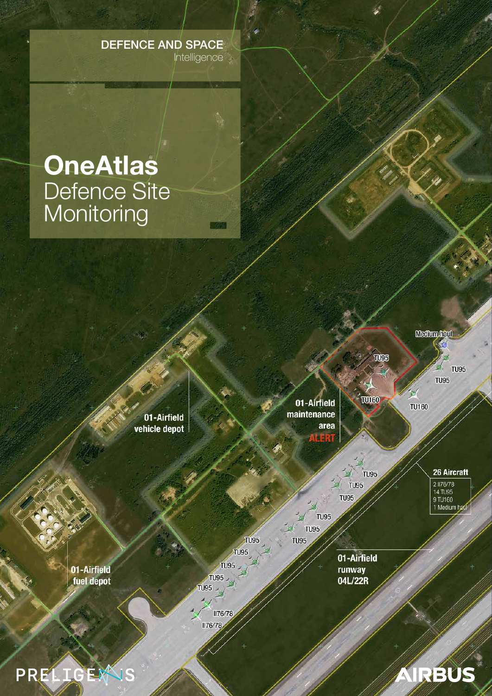# **DEFENCE AND SPACE** Intelligence

# **OneAtlas** Defence Site<br>Monitoring

01-Airfield vehicle depot

01-Airfield maintenance area **IN SER** 

**Medium haul** 

TURS

 $T$ 

TU95

**TU95 TU95** 

**TU95 TU95** 

**TU160** 

26 Aircraft

2 1176/78<br>14 TU95 9TU160 1 Medium hat

IRBUS

A

**TU95** 

**TU95** 

**TU95** 01-Airfield

runway 04L/22R

01-Airfield fuel depot

PRELIGEWIS

**II76/78** 

**TU95** 

**TU95** 

**TU95** 

**TU95** 

**TU95** 

**II76/78**